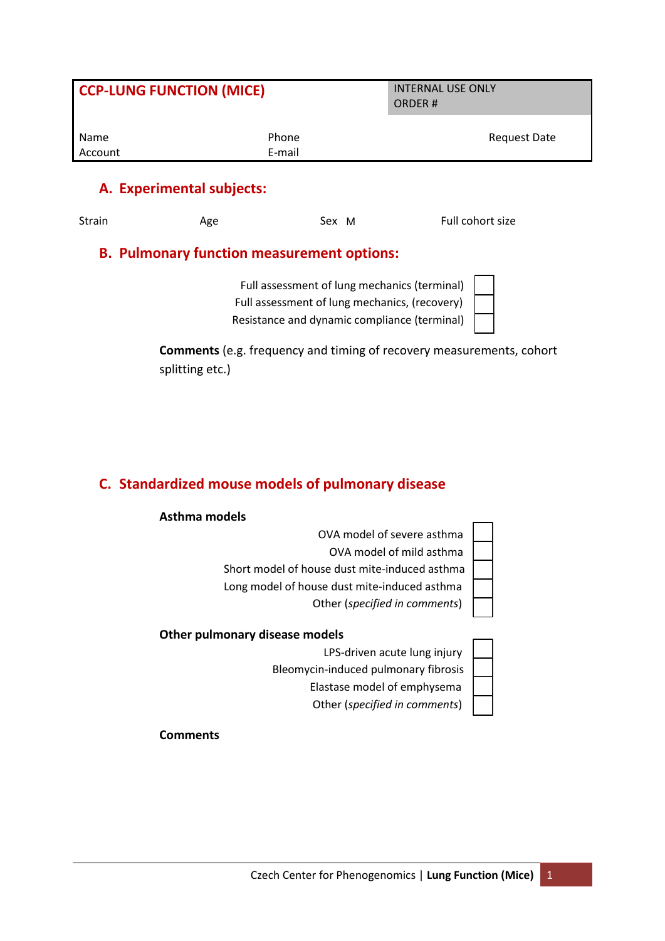| <b>CCP-LUNG FUNCTION (MICE)</b> |                 | <b>INTERNAL USE ONLY</b><br><b>ORDER#</b> |  |
|---------------------------------|-----------------|-------------------------------------------|--|
| Name<br>Account                 | Phone<br>E-mail | Request Date                              |  |
|                                 |                 |                                           |  |

# **A. Experimental subjects:**

Sex M

Strain Age Age Sex M Full cohort size

## **B. Pulmonary function measurement options:**

Full assessment of lung mechanics (terminal Full assessment of lung mechanics, (recovery) Resistance and dynamic compliance (terminal)

| )<br>I |  |
|--------|--|
| 1      |  |
| ı      |  |

**Comments** (e.g. frequency and timing of recovery measurements, cohort splitting etc.)

# **C. Standardized mouse models of pulmonary disease**

### **Asthma models**

| OVA model of severe asthma                    |  |  |  |
|-----------------------------------------------|--|--|--|
| OVA model of mild asthma                      |  |  |  |
| Short model of house dust mite-induced asthma |  |  |  |
| Long model of house dust mite-induced asthma  |  |  |  |
| Other (specified in comments)                 |  |  |  |
| Other pulmonary disease models                |  |  |  |
| I DS-driven acute lung injury                 |  |  |  |

 LPS-driven acute lung injury Bleomycin-induced pulmonary fibrosis Elastase model of emphysema

Other (*specified in comments*)

- 1

**Comments**